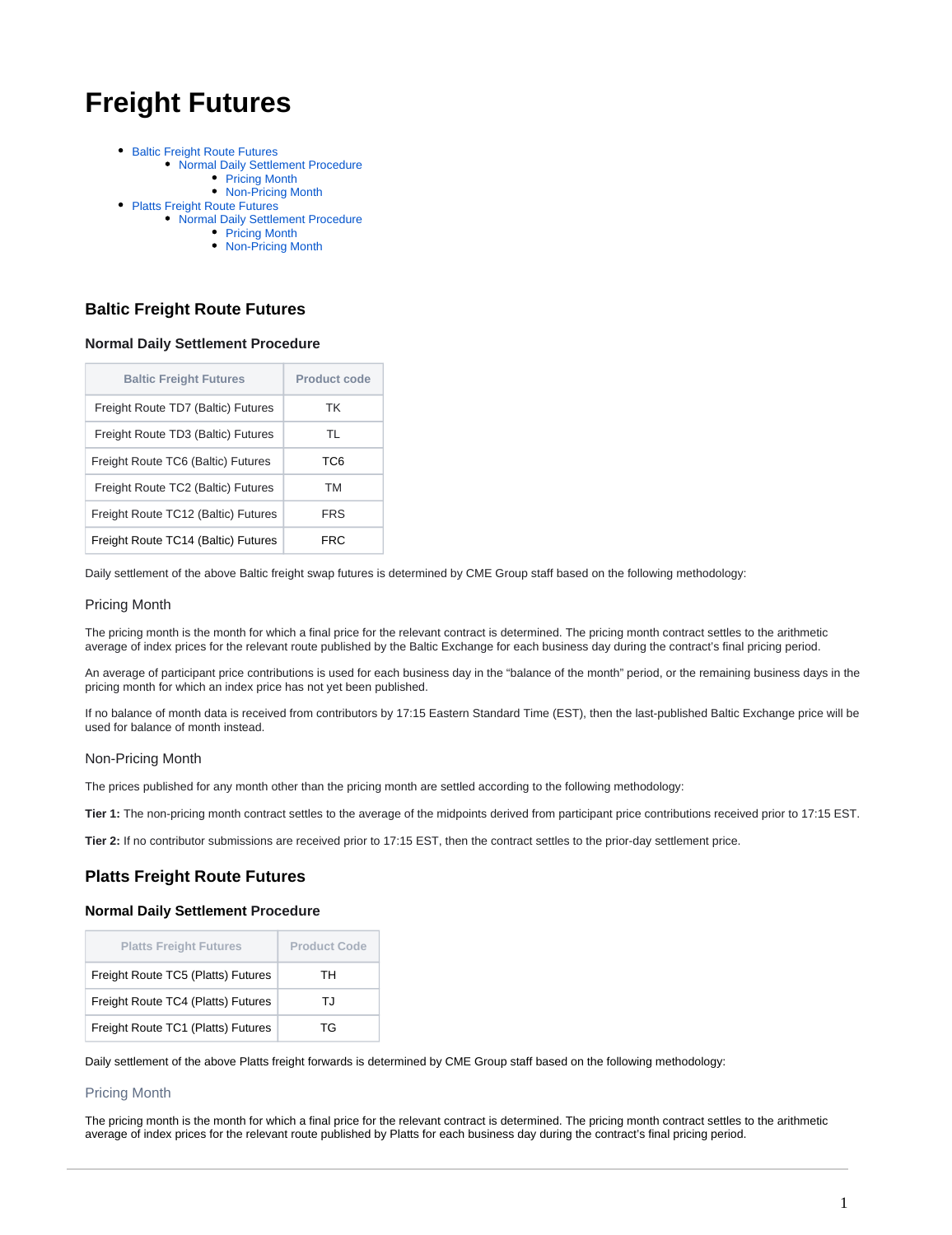# **Freight Futures**

- [Baltic Freight Route Futures](#page-0-0)
	- [Normal Daily Settlement Procedure](#page-0-1)
		- [Pricing Month](#page-0-2)
		- [Non-Pricing Month](#page-0-3)
- [Platts Freight Route Futures](#page-0-4)
	- [Normal Daily Settlement Procedure](#page-0-5) • [Pricing Month](#page-0-6)
		- [Non-Pricing Month](#page-1-0)
		-

## <span id="page-0-0"></span>**Baltic Freight Route Futures**

## <span id="page-0-1"></span>**Normal Daily Settlement Procedure**

| <b>Baltic Freight Futures</b>       | Product code |
|-------------------------------------|--------------|
| Freight Route TD7 (Baltic) Futures  | ТK           |
| Freight Route TD3 (Baltic) Futures  | TL           |
| Freight Route TC6 (Baltic) Futures  | TC6          |
| Freight Route TC2 (Baltic) Futures  | <b>TM</b>    |
| Freight Route TC12 (Baltic) Futures | <b>FRS</b>   |
| Freight Route TC14 (Baltic) Futures | FRC.         |

Daily settlement of the above Baltic freight swap futures is determined by CME Group staff based on the following methodology:

#### <span id="page-0-2"></span>Pricing Month

The pricing month is the month for which a final price for the relevant contract is determined. The pricing month contract settles to the arithmetic average of index prices for the relevant route published by the Baltic Exchange for each business day during the contract's final pricing period.

An average of participant price contributions is used for each business day in the "balance of the month" period, or the remaining business days in the pricing month for which an index price has not yet been published.

If no balance of month data is received from contributors by 17:15 Eastern Standard Time (EST), then the last-published Baltic Exchange price will be used for balance of month instead.

## <span id="page-0-3"></span>Non-Pricing Month

The prices published for any month other than the pricing month are settled according to the following methodology:

**Tier 1:** The non-pricing month contract settles to the average of the midpoints derived from participant price contributions received prior to 17:15 EST.

**Tier 2:** If no contributor submissions are received prior to 17:15 EST, then the contract settles to the prior-day settlement price.

## <span id="page-0-4"></span>**Platts Freight Route Futures**

## <span id="page-0-5"></span>**Normal Daily Settlement Procedure**

| <b>Platts Freight Futures</b>      | <b>Product Code</b> |
|------------------------------------|---------------------|
| Freight Route TC5 (Platts) Futures | тн                  |
| Freight Route TC4 (Platts) Futures | TJ                  |
| Freight Route TC1 (Platts) Futures | ТG                  |

Daily settlement of the above Platts freight forwards is determined by CME Group staff based on the following methodology:

## <span id="page-0-6"></span>Pricing Month

The pricing month is the month for which a final price for the relevant contract is determined. The pricing month contract settles to the arithmetic average of index prices for the relevant route published by Platts for each business day during the contract's final pricing period.